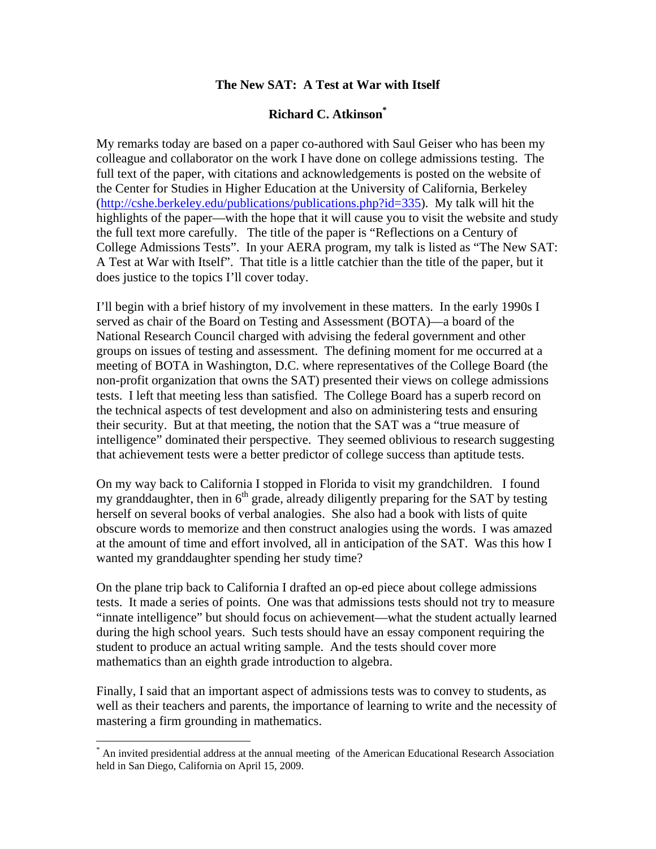## **The New SAT: A Test at War with Itself**

# **Richard C. Atkinson\***

My remarks today are based on a paper co-authored with Saul Geiser who has been my colleague and collaborator on the work I have done on college admissions testing. The full text of the paper, with citations and acknowledgements is posted on the website of the Center for Studies in Higher Education at the University of California, Berkeley (http://cshe.berkeley.edu/publications/publications.php?id=335). My talk will hit the highlights of the paper—with the hope that it will cause you to visit the website and study the full text more carefully. The title of the paper is "Reflections on a Century of College Admissions Tests". In your AERA program, my talk is listed as "The New SAT: A Test at War with Itself". That title is a little catchier than the title of the paper, but it does justice to the topics I'll cover today.

I'll begin with a brief history of my involvement in these matters. In the early 1990s I served as chair of the Board on Testing and Assessment (BOTA)—a board of the National Research Council charged with advising the federal government and other groups on issues of testing and assessment. The defining moment for me occurred at a meeting of BOTA in Washington, D.C. where representatives of the College Board (the non-profit organization that owns the SAT) presented their views on college admissions tests. I left that meeting less than satisfied. The College Board has a superb record on the technical aspects of test development and also on administering tests and ensuring their security. But at that meeting, the notion that the SAT was a "true measure of intelligence" dominated their perspective. They seemed oblivious to research suggesting that achievement tests were a better predictor of college success than aptitude tests.

On my way back to California I stopped in Florida to visit my grandchildren. I found my granddaughter, then in  $6<sup>th</sup>$  grade, already diligently preparing for the SAT by testing herself on several books of verbal analogies. She also had a book with lists of quite obscure words to memorize and then construct analogies using the words. I was amazed at the amount of time and effort involved, all in anticipation of the SAT. Was this how I wanted my granddaughter spending her study time?

On the plane trip back to California I drafted an op-ed piece about college admissions tests. It made a series of points. One was that admissions tests should not try to measure "innate intelligence" but should focus on achievement—what the student actually learned during the high school years. Such tests should have an essay component requiring the student to produce an actual writing sample. And the tests should cover more mathematics than an eighth grade introduction to algebra.

Finally, I said that an important aspect of admissions tests was to convey to students, as well as their teachers and parents, the importance of learning to write and the necessity of mastering a firm grounding in mathematics.

 $\overline{a}$ 

<sup>\*</sup> An invited presidential address at the annual meeting of the American Educational Research Association held in San Diego, California on April 15, 2009.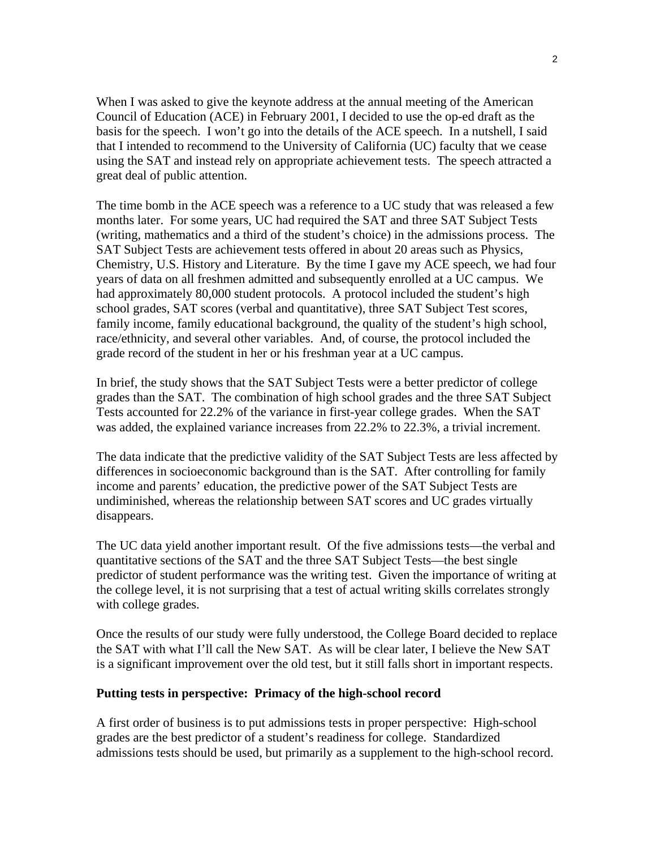When I was asked to give the keynote address at the annual meeting of the American Council of Education (ACE) in February 2001, I decided to use the op-ed draft as the basis for the speech. I won't go into the details of the ACE speech. In a nutshell, I said that I intended to recommend to the University of California (UC) faculty that we cease using the SAT and instead rely on appropriate achievement tests. The speech attracted a great deal of public attention.

The time bomb in the ACE speech was a reference to a UC study that was released a few months later. For some years, UC had required the SAT and three SAT Subject Tests (writing, mathematics and a third of the student's choice) in the admissions process. The SAT Subject Tests are achievement tests offered in about 20 areas such as Physics, Chemistry, U.S. History and Literature. By the time I gave my ACE speech, we had four years of data on all freshmen admitted and subsequently enrolled at a UC campus. We had approximately 80,000 student protocols. A protocol included the student's high school grades, SAT scores (verbal and quantitative), three SAT Subject Test scores, family income, family educational background, the quality of the student's high school, race/ethnicity, and several other variables. And, of course, the protocol included the grade record of the student in her or his freshman year at a UC campus.

In brief, the study shows that the SAT Subject Tests were a better predictor of college grades than the SAT. The combination of high school grades and the three SAT Subject Tests accounted for 22.2% of the variance in first-year college grades. When the SAT was added, the explained variance increases from 22.2% to 22.3%, a trivial increment.

The data indicate that the predictive validity of the SAT Subject Tests are less affected by differences in socioeconomic background than is the SAT. After controlling for family income and parents' education, the predictive power of the SAT Subject Tests are undiminished, whereas the relationship between SAT scores and UC grades virtually disappears.

The UC data yield another important result. Of the five admissions tests—the verbal and quantitative sections of the SAT and the three SAT Subject Tests—the best single predictor of student performance was the writing test. Given the importance of writing at the college level, it is not surprising that a test of actual writing skills correlates strongly with college grades.

Once the results of our study were fully understood, the College Board decided to replace the SAT with what I'll call the New SAT. As will be clear later, I believe the New SAT is a significant improvement over the old test, but it still falls short in important respects.

### **Putting tests in perspective: Primacy of the high-school record**

A first order of business is to put admissions tests in proper perspective: High-school grades are the best predictor of a student's readiness for college. Standardized admissions tests should be used, but primarily as a supplement to the high-school record.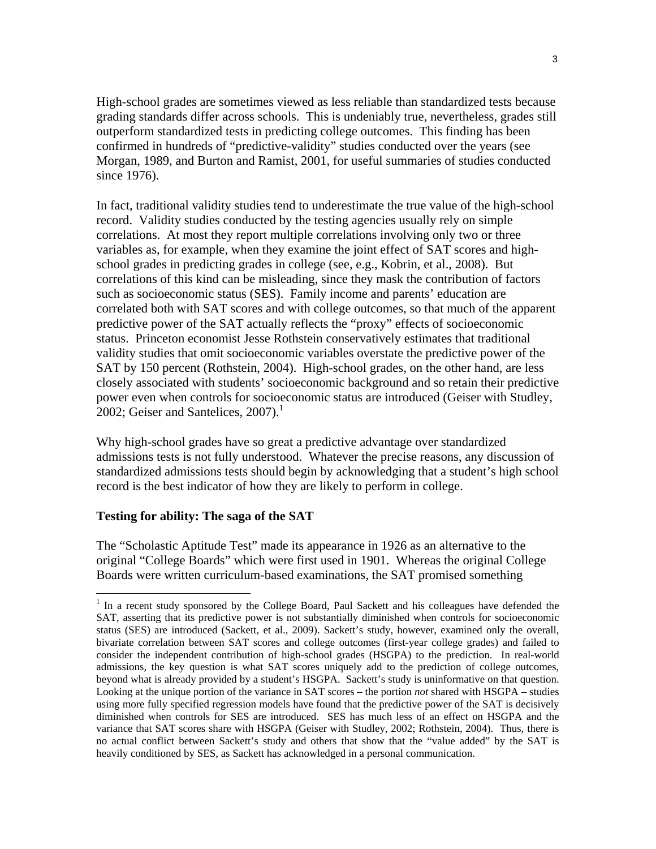High-school grades are sometimes viewed as less reliable than standardized tests because grading standards differ across schools. This is undeniably true, nevertheless, grades still outperform standardized tests in predicting college outcomes. This finding has been confirmed in hundreds of "predictive-validity" studies conducted over the years (see Morgan, 1989, and Burton and Ramist, 2001, for useful summaries of studies conducted since 1976).

In fact, traditional validity studies tend to underestimate the true value of the high-school record. Validity studies conducted by the testing agencies usually rely on simple correlations. At most they report multiple correlations involving only two or three variables as, for example, when they examine the joint effect of SAT scores and highschool grades in predicting grades in college (see, e.g., Kobrin, et al., 2008). But correlations of this kind can be misleading, since they mask the contribution of factors such as socioeconomic status (SES). Family income and parents' education are correlated both with SAT scores and with college outcomes, so that much of the apparent predictive power of the SAT actually reflects the "proxy" effects of socioeconomic status. Princeton economist Jesse Rothstein conservatively estimates that traditional validity studies that omit socioeconomic variables overstate the predictive power of the SAT by 150 percent (Rothstein, 2004). High-school grades, on the other hand, are less closely associated with students' socioeconomic background and so retain their predictive power even when controls for socioeconomic status are introduced (Geiser with Studley, 2002; Geiser and Santelices,  $2007$ ).<sup>1</sup>

Why high-school grades have so great a predictive advantage over standardized admissions tests is not fully understood. Whatever the precise reasons, any discussion of standardized admissions tests should begin by acknowledging that a student's high school record is the best indicator of how they are likely to perform in college.

### **Testing for ability: The saga of the SAT**

 $\overline{a}$ 

The "Scholastic Aptitude Test" made its appearance in 1926 as an alternative to the original "College Boards" which were first used in 1901. Whereas the original College Boards were written curriculum-based examinations, the SAT promised something

<sup>&</sup>lt;sup>1</sup> In a recent study sponsored by the College Board, Paul Sackett and his colleagues have defended the SAT, asserting that its predictive power is not substantially diminished when controls for socioeconomic status (SES) are introduced (Sackett, et al., 2009). Sackett's study, however, examined only the overall, bivariate correlation between SAT scores and college outcomes (first-year college grades) and failed to consider the independent contribution of high-school grades (HSGPA) to the prediction. In real-world admissions, the key question is what SAT scores uniquely add to the prediction of college outcomes, beyond what is already provided by a student's HSGPA. Sackett's study is uninformative on that question. Looking at the unique portion of the variance in SAT scores – the portion *not* shared with HSGPA – studies using more fully specified regression models have found that the predictive power of the SAT is decisively diminished when controls for SES are introduced. SES has much less of an effect on HSGPA and the variance that SAT scores share with HSGPA (Geiser with Studley, 2002; Rothstein, 2004). Thus, there is no actual conflict between Sackett's study and others that show that the "value added" by the SAT is heavily conditioned by SES, as Sackett has acknowledged in a personal communication.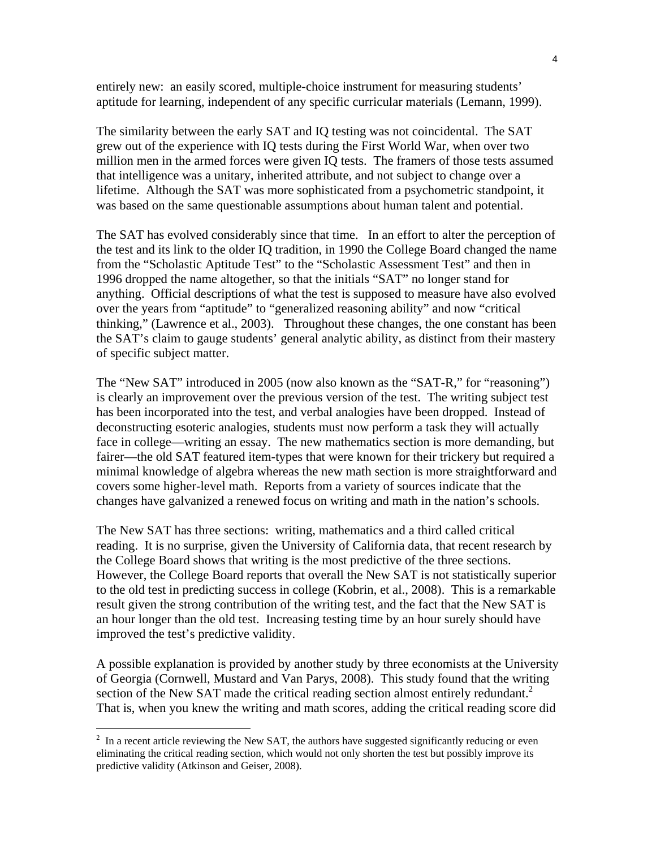entirely new: an easily scored, multiple-choice instrument for measuring students' aptitude for learning, independent of any specific curricular materials (Lemann, 1999).

The similarity between the early SAT and IQ testing was not coincidental. The SAT grew out of the experience with IQ tests during the First World War, when over two million men in the armed forces were given IQ tests. The framers of those tests assumed that intelligence was a unitary, inherited attribute, and not subject to change over a lifetime. Although the SAT was more sophisticated from a psychometric standpoint, it was based on the same questionable assumptions about human talent and potential.

The SAT has evolved considerably since that time. In an effort to alter the perception of the test and its link to the older IQ tradition, in 1990 the College Board changed the name from the "Scholastic Aptitude Test" to the "Scholastic Assessment Test" and then in 1996 dropped the name altogether, so that the initials "SAT" no longer stand for anything. Official descriptions of what the test is supposed to measure have also evolved over the years from "aptitude" to "generalized reasoning ability" and now "critical thinking," (Lawrence et al., 2003). Throughout these changes, the one constant has been the SAT's claim to gauge students' general analytic ability, as distinct from their mastery of specific subject matter.

The "New SAT" introduced in 2005 (now also known as the "SAT-R," for "reasoning") is clearly an improvement over the previous version of the test. The writing subject test has been incorporated into the test, and verbal analogies have been dropped. Instead of deconstructing esoteric analogies, students must now perform a task they will actually face in college—writing an essay. The new mathematics section is more demanding, but fairer—the old SAT featured item-types that were known for their trickery but required a minimal knowledge of algebra whereas the new math section is more straightforward and covers some higher-level math. Reports from a variety of sources indicate that the changes have galvanized a renewed focus on writing and math in the nation's schools.

The New SAT has three sections: writing, mathematics and a third called critical reading. It is no surprise, given the University of California data, that recent research by the College Board shows that writing is the most predictive of the three sections. However, the College Board reports that overall the New SAT is not statistically superior to the old test in predicting success in college (Kobrin, et al., 2008). This is a remarkable result given the strong contribution of the writing test, and the fact that the New SAT is an hour longer than the old test. Increasing testing time by an hour surely should have improved the test's predictive validity.

A possible explanation is provided by another study by three economists at the University of Georgia (Cornwell, Mustard and Van Parys, 2008). This study found that the writing section of the New SAT made the critical reading section almost entirely redundant.<sup>2</sup> That is, when you knew the writing and math scores, adding the critical reading score did

 $\overline{a}$ 

 $2\;\;$  In a recent article reviewing the New SAT, the authors have suggested significantly reducing or even eliminating the critical reading section, which would not only shorten the test but possibly improve its predictive validity (Atkinson and Geiser, 2008).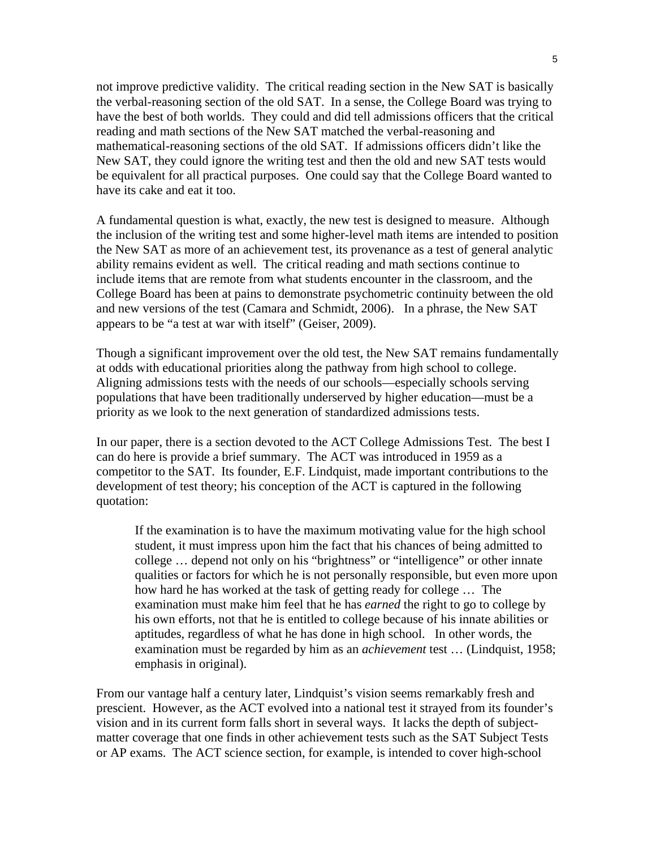not improve predictive validity. The critical reading section in the New SAT is basically the verbal-reasoning section of the old SAT. In a sense, the College Board was trying to have the best of both worlds. They could and did tell admissions officers that the critical reading and math sections of the New SAT matched the verbal-reasoning and mathematical-reasoning sections of the old SAT. If admissions officers didn't like the New SAT, they could ignore the writing test and then the old and new SAT tests would be equivalent for all practical purposes. One could say that the College Board wanted to have its cake and eat it too.

A fundamental question is what, exactly, the new test is designed to measure. Although the inclusion of the writing test and some higher-level math items are intended to position the New SAT as more of an achievement test, its provenance as a test of general analytic ability remains evident as well. The critical reading and math sections continue to include items that are remote from what students encounter in the classroom, and the College Board has been at pains to demonstrate psychometric continuity between the old and new versions of the test (Camara and Schmidt, 2006). In a phrase, the New SAT appears to be "a test at war with itself" (Geiser, 2009).

Though a significant improvement over the old test, the New SAT remains fundamentally at odds with educational priorities along the pathway from high school to college. Aligning admissions tests with the needs of our schools—especially schools serving populations that have been traditionally underserved by higher education—must be a priority as we look to the next generation of standardized admissions tests.

In our paper, there is a section devoted to the ACT College Admissions Test. The best I can do here is provide a brief summary. The ACT was introduced in 1959 as a competitor to the SAT. Its founder, E.F. Lindquist, made important contributions to the development of test theory; his conception of the ACT is captured in the following quotation:

If the examination is to have the maximum motivating value for the high school student, it must impress upon him the fact that his chances of being admitted to college … depend not only on his "brightness" or "intelligence" or other innate qualities or factors for which he is not personally responsible, but even more upon how hard he has worked at the task of getting ready for college … The examination must make him feel that he has *earned* the right to go to college by his own efforts, not that he is entitled to college because of his innate abilities or aptitudes, regardless of what he has done in high school. In other words, the examination must be regarded by him as an *achievement* test … (Lindquist, 1958; emphasis in original).

From our vantage half a century later, Lindquist's vision seems remarkably fresh and prescient. However, as the ACT evolved into a national test it strayed from its founder's vision and in its current form falls short in several ways. It lacks the depth of subjectmatter coverage that one finds in other achievement tests such as the SAT Subject Tests or AP exams. The ACT science section, for example, is intended to cover high-school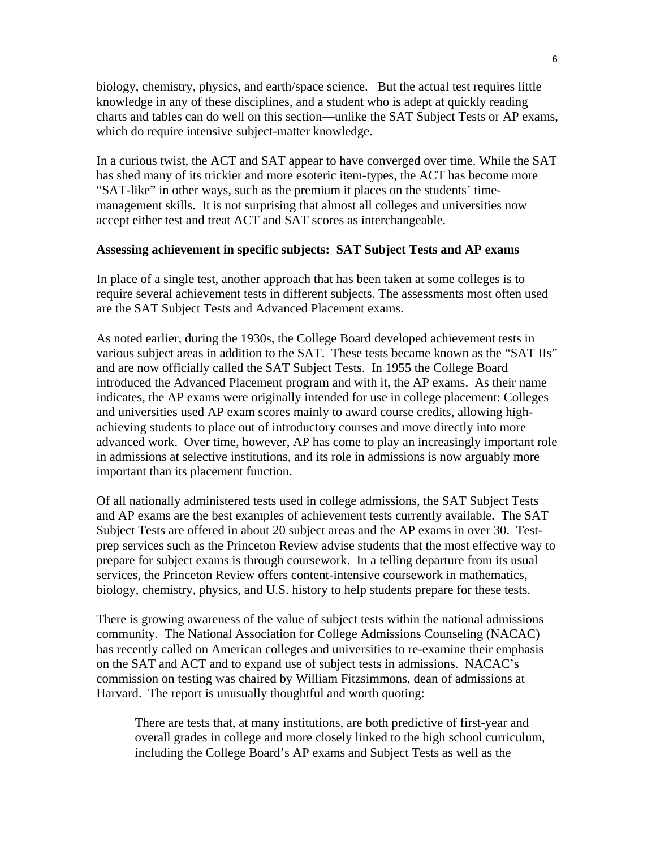biology, chemistry, physics, and earth/space science. But the actual test requires little knowledge in any of these disciplines, and a student who is adept at quickly reading charts and tables can do well on this section—unlike the SAT Subject Tests or AP exams, which do require intensive subject-matter knowledge.

In a curious twist, the ACT and SAT appear to have converged over time. While the SAT has shed many of its trickier and more esoteric item-types, the ACT has become more "SAT-like" in other ways, such as the premium it places on the students' timemanagement skills. It is not surprising that almost all colleges and universities now accept either test and treat ACT and SAT scores as interchangeable.

#### **Assessing achievement in specific subjects: SAT Subject Tests and AP exams**

In place of a single test, another approach that has been taken at some colleges is to require several achievement tests in different subjects. The assessments most often used are the SAT Subject Tests and Advanced Placement exams.

As noted earlier, during the 1930s, the College Board developed achievement tests in various subject areas in addition to the SAT. These tests became known as the "SAT IIs" and are now officially called the SAT Subject Tests. In 1955 the College Board introduced the Advanced Placement program and with it, the AP exams. As their name indicates, the AP exams were originally intended for use in college placement: Colleges and universities used AP exam scores mainly to award course credits, allowing highachieving students to place out of introductory courses and move directly into more advanced work. Over time, however, AP has come to play an increasingly important role in admissions at selective institutions, and its role in admissions is now arguably more important than its placement function.

Of all nationally administered tests used in college admissions, the SAT Subject Tests and AP exams are the best examples of achievement tests currently available. The SAT Subject Tests are offered in about 20 subject areas and the AP exams in over 30. Testprep services such as the Princeton Review advise students that the most effective way to prepare for subject exams is through coursework. In a telling departure from its usual services, the Princeton Review offers content-intensive coursework in mathematics, biology, chemistry, physics, and U.S. history to help students prepare for these tests.

There is growing awareness of the value of subject tests within the national admissions community. The National Association for College Admissions Counseling (NACAC) has recently called on American colleges and universities to re-examine their emphasis on the SAT and ACT and to expand use of subject tests in admissions. NACAC's commission on testing was chaired by William Fitzsimmons, dean of admissions at Harvard. The report is unusually thoughtful and worth quoting:

There are tests that, at many institutions, are both predictive of first-year and overall grades in college and more closely linked to the high school curriculum, including the College Board's AP exams and Subject Tests as well as the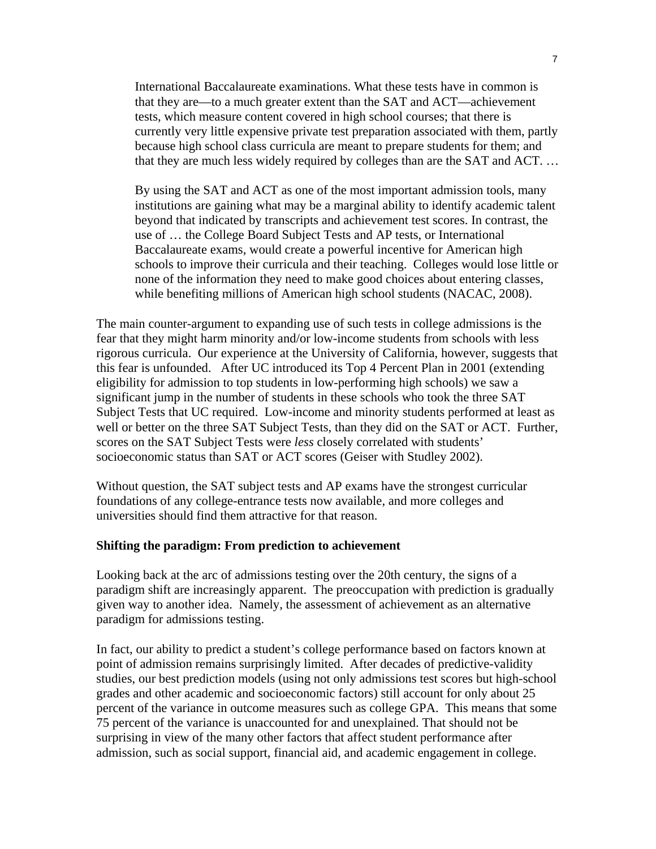International Baccalaureate examinations. What these tests have in common is that they are—to a much greater extent than the SAT and ACT—achievement tests, which measure content covered in high school courses; that there is currently very little expensive private test preparation associated with them, partly because high school class curricula are meant to prepare students for them; and that they are much less widely required by colleges than are the SAT and ACT. …

By using the SAT and ACT as one of the most important admission tools, many institutions are gaining what may be a marginal ability to identify academic talent beyond that indicated by transcripts and achievement test scores. In contrast, the use of … the College Board Subject Tests and AP tests, or International Baccalaureate exams, would create a powerful incentive for American high schools to improve their curricula and their teaching. Colleges would lose little or none of the information they need to make good choices about entering classes, while benefiting millions of American high school students (NACAC, 2008).

The main counter-argument to expanding use of such tests in college admissions is the fear that they might harm minority and/or low-income students from schools with less rigorous curricula. Our experience at the University of California, however, suggests that this fear is unfounded. After UC introduced its Top 4 Percent Plan in 2001 (extending eligibility for admission to top students in low-performing high schools) we saw a significant jump in the number of students in these schools who took the three SAT Subject Tests that UC required. Low-income and minority students performed at least as well or better on the three SAT Subject Tests, than they did on the SAT or ACT. Further, scores on the SAT Subject Tests were *less* closely correlated with students' socioeconomic status than SAT or ACT scores (Geiser with Studley 2002).

Without question, the SAT subject tests and AP exams have the strongest curricular foundations of any college-entrance tests now available, and more colleges and universities should find them attractive for that reason.

#### **Shifting the paradigm: From prediction to achievement**

Looking back at the arc of admissions testing over the 20th century, the signs of a paradigm shift are increasingly apparent. The preoccupation with prediction is gradually given way to another idea. Namely, the assessment of achievement as an alternative paradigm for admissions testing.

In fact, our ability to predict a student's college performance based on factors known at point of admission remains surprisingly limited. After decades of predictive-validity studies, our best prediction models (using not only admissions test scores but high-school grades and other academic and socioeconomic factors) still account for only about 25 percent of the variance in outcome measures such as college GPA. This means that some 75 percent of the variance is unaccounted for and unexplained. That should not be surprising in view of the many other factors that affect student performance after admission, such as social support, financial aid, and academic engagement in college.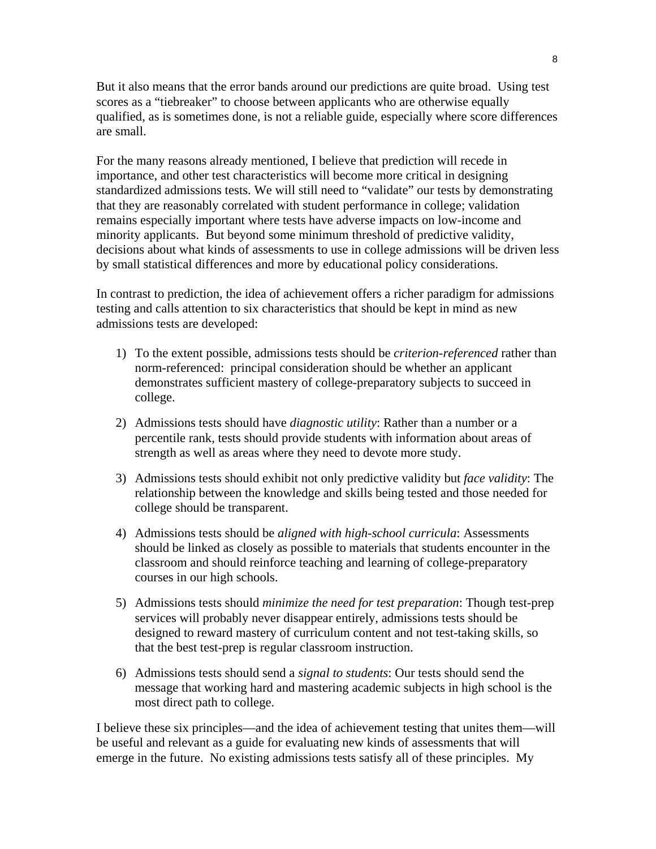But it also means that the error bands around our predictions are quite broad. Using test scores as a "tiebreaker" to choose between applicants who are otherwise equally qualified, as is sometimes done, is not a reliable guide, especially where score differences are small.

For the many reasons already mentioned, I believe that prediction will recede in importance, and other test characteristics will become more critical in designing standardized admissions tests. We will still need to "validate" our tests by demonstrating that they are reasonably correlated with student performance in college; validation remains especially important where tests have adverse impacts on low-income and minority applicants. But beyond some minimum threshold of predictive validity, decisions about what kinds of assessments to use in college admissions will be driven less by small statistical differences and more by educational policy considerations.

In contrast to prediction, the idea of achievement offers a richer paradigm for admissions testing and calls attention to six characteristics that should be kept in mind as new admissions tests are developed:

- 1) To the extent possible, admissions tests should be *criterion-referenced* rather than norm-referenced: principal consideration should be whether an applicant demonstrates sufficient mastery of college-preparatory subjects to succeed in college.
- 2) Admissions tests should have *diagnostic utility*: Rather than a number or a percentile rank, tests should provide students with information about areas of strength as well as areas where they need to devote more study.
- 3) Admissions tests should exhibit not only predictive validity but *face validity*: The relationship between the knowledge and skills being tested and those needed for college should be transparent.
- 4) Admissions tests should be *aligned with high-school curricula*: Assessments should be linked as closely as possible to materials that students encounter in the classroom and should reinforce teaching and learning of college-preparatory courses in our high schools.
- 5) Admissions tests should *minimize the need for test preparation*: Though test-prep services will probably never disappear entirely, admissions tests should be designed to reward mastery of curriculum content and not test-taking skills, so that the best test-prep is regular classroom instruction.
- 6) Admissions tests should send a *signal to students*: Our tests should send the message that working hard and mastering academic subjects in high school is the most direct path to college.

I believe these six principles—and the idea of achievement testing that unites them—will be useful and relevant as a guide for evaluating new kinds of assessments that will emerge in the future. No existing admissions tests satisfy all of these principles. My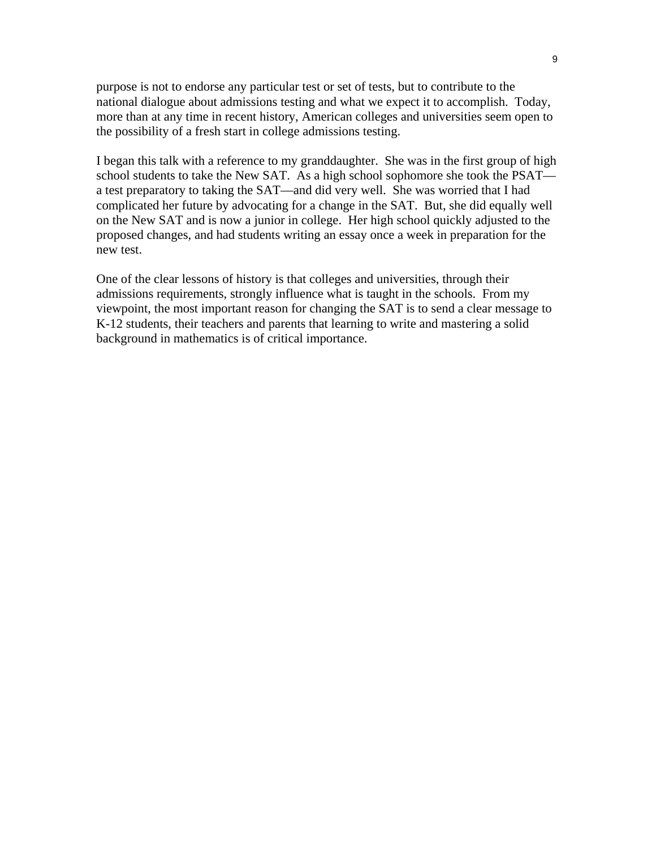purpose is not to endorse any particular test or set of tests, but to contribute to the national dialogue about admissions testing and what we expect it to accomplish. Today, more than at any time in recent history, American colleges and universities seem open to the possibility of a fresh start in college admissions testing.

I began this talk with a reference to my granddaughter. She was in the first group of high school students to take the New SAT. As a high school sophomore she took the PSAT a test preparatory to taking the SAT—and did very well. She was worried that I had complicated her future by advocating for a change in the SAT. But, she did equally well on the New SAT and is now a junior in college. Her high school quickly adjusted to the proposed changes, and had students writing an essay once a week in preparation for the new test.

One of the clear lessons of history is that colleges and universities, through their admissions requirements, strongly influence what is taught in the schools. From my viewpoint, the most important reason for changing the SAT is to send a clear message to K-12 students, their teachers and parents that learning to write and mastering a solid background in mathematics is of critical importance.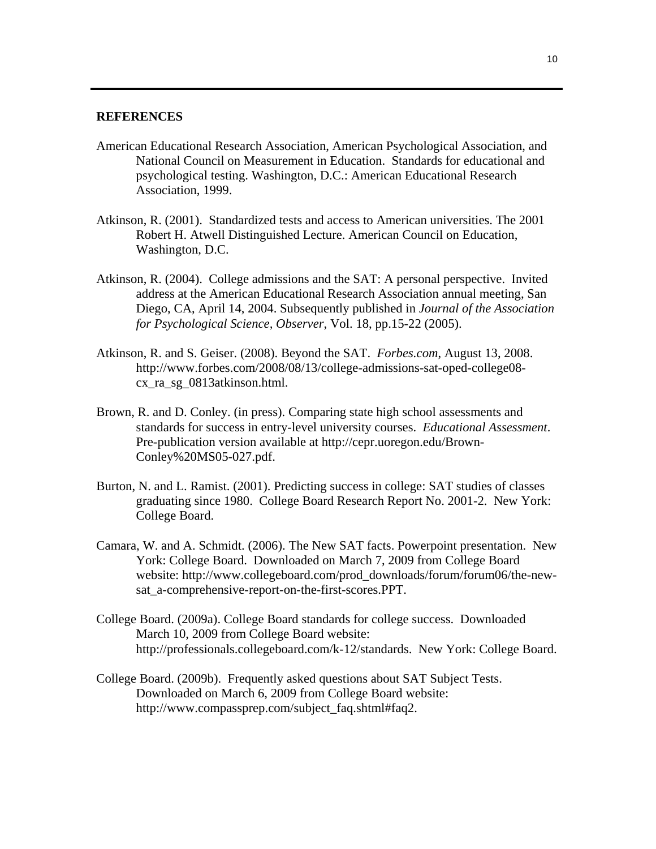#### **REFERENCES**

- American Educational Research Association, American Psychological Association, and National Council on Measurement in Education. Standards for educational and psychological testing. Washington, D.C.: American Educational Research Association, 1999.
- Atkinson, R. (2001). Standardized tests and access to American universities. The 2001 Robert H. Atwell Distinguished Lecture. American Council on Education, Washington, D.C.
- Atkinson, R. (2004). College admissions and the SAT: A personal perspective. Invited address at the American Educational Research Association annual meeting, San Diego, CA, April 14, 2004. Subsequently published in *Journal of the Association for Psychological Science, Observer*, Vol. 18, pp.15-22 (2005).
- Atkinson, R. and S. Geiser. (2008). Beyond the SAT. *Forbes.com*, August 13, 2008. http://www.forbes.com/2008/08/13/college-admissions-sat-oped-college08 cx\_ra\_sg\_0813atkinson.html.
- Brown, R. and D. Conley. (in press). Comparing state high school assessments and standards for success in entry-level university courses. *Educational Assessment*. Pre-publication version available at http://cepr.uoregon.edu/Brown-Conley%20MS05-027.pdf.
- Burton, N. and L. Ramist. (2001). Predicting success in college: SAT studies of classes graduating since 1980. College Board Research Report No. 2001-2. New York: College Board.
- Camara, W. and A. Schmidt. (2006). The New SAT facts. Powerpoint presentation. New York: College Board. Downloaded on March 7, 2009 from College Board website: http://www.collegeboard.com/prod\_downloads/forum/forum06/the-newsat a-comprehensive-report-on-the-first-scores.PPT.
- College Board. (2009a). College Board standards for college success. Downloaded March 10, 2009 from College Board website: http://professionals.collegeboard.com/k-12/standards. New York: College Board.
- College Board. (2009b). Frequently asked questions about SAT Subject Tests. Downloaded on March 6, 2009 from College Board website: http://www.compassprep.com/subject\_faq.shtml#faq2.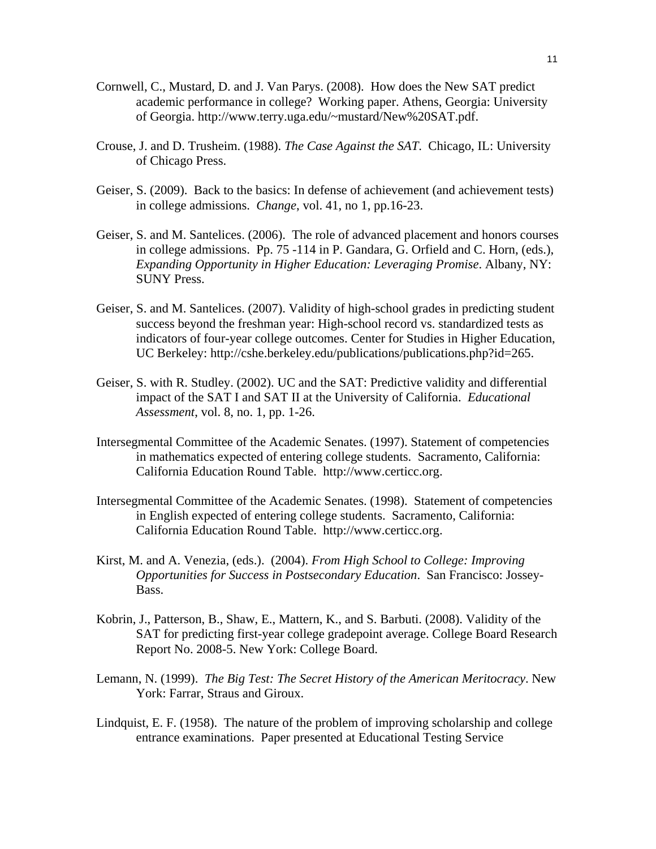- Cornwell, C., Mustard, D. and J. Van Parys. (2008). How does the New SAT predict academic performance in college? Working paper. Athens, Georgia: University of Georgia. http://www.terry.uga.edu/~mustard/New%20SAT.pdf.
- Crouse, J. and D. Trusheim. (1988). *The Case Against the SAT*. Chicago, IL: University of Chicago Press.
- Geiser, S. (2009). Back to the basics: In defense of achievement (and achievement tests) in college admissions. *Change*, vol. 41, no 1, pp.16-23.
- Geiser, S. and M. Santelices. (2006). The role of advanced placement and honors courses in college admissions. Pp. 75 -114 in P. Gandara, G. Orfield and C. Horn, (eds.), *Expanding Opportunity in Higher Education: Leveraging Promise*. Albany, NY: SUNY Press.
- Geiser, S. and M. Santelices. (2007). Validity of high-school grades in predicting student success beyond the freshman year: High-school record vs. standardized tests as indicators of four-year college outcomes. Center for Studies in Higher Education, UC Berkeley: http://cshe.berkeley.edu/publications/publications.php?id=265.
- Geiser, S. with R. Studley. (2002). UC and the SAT: Predictive validity and differential impact of the SAT I and SAT II at the University of California. *Educational Assessment*, vol. 8, no. 1, pp. 1-26.
- Intersegmental Committee of the Academic Senates. (1997). Statement of competencies in mathematics expected of entering college students. Sacramento, California: California Education Round Table. http://www.certicc.org.
- Intersegmental Committee of the Academic Senates. (1998). Statement of competencies in English expected of entering college students. Sacramento, California: California Education Round Table. http://www.certicc.org.
- Kirst, M. and A. Venezia, (eds.). (2004). *From High School to College: Improving Opportunities for Success in Postsecondary Education*. San Francisco: Jossey-Bass.
- Kobrin, J., Patterson, B., Shaw, E., Mattern, K., and S. Barbuti. (2008). Validity of the SAT for predicting first-year college gradepoint average. College Board Research Report No. 2008-5. New York: College Board.
- Lemann, N. (1999). *The Big Test: The Secret History of the American Meritocracy*. New York: Farrar, Straus and Giroux.
- Lindquist, E. F. (1958). The nature of the problem of improving scholarship and college entrance examinations. Paper presented at Educational Testing Service